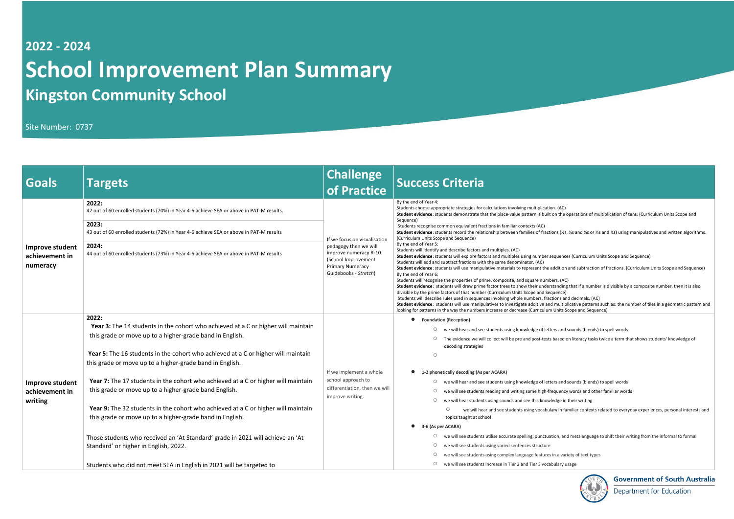## **2022 - 2024 School Improvement Plan Summary Kingston Community School**

Site Number: 0737

| <b>Goals</b>                                  | <b>Targets</b>                                                                                                                                                                                                                                                                                                                                                                                                                                                                                                                                                                                                                                                                                                                                                                                            | Challenge<br>of Practice                                                                                                                                   | <b>Success Criteria</b>                                                                                                                                                                                                                                                                                                                                                                                                                                                                                                                                                                                                                                                                                                                                                                                                                                                                                                                                                                                                                                                                                                                                                                                                                                                                                                                                                |
|-----------------------------------------------|-----------------------------------------------------------------------------------------------------------------------------------------------------------------------------------------------------------------------------------------------------------------------------------------------------------------------------------------------------------------------------------------------------------------------------------------------------------------------------------------------------------------------------------------------------------------------------------------------------------------------------------------------------------------------------------------------------------------------------------------------------------------------------------------------------------|------------------------------------------------------------------------------------------------------------------------------------------------------------|------------------------------------------------------------------------------------------------------------------------------------------------------------------------------------------------------------------------------------------------------------------------------------------------------------------------------------------------------------------------------------------------------------------------------------------------------------------------------------------------------------------------------------------------------------------------------------------------------------------------------------------------------------------------------------------------------------------------------------------------------------------------------------------------------------------------------------------------------------------------------------------------------------------------------------------------------------------------------------------------------------------------------------------------------------------------------------------------------------------------------------------------------------------------------------------------------------------------------------------------------------------------------------------------------------------------------------------------------------------------|
| Improve student<br>achievement in<br>numeracy | 2022:<br>42 out of 60 enrolled students (70%) in Year 4-6 achieve SEA or above in PAT-M results.<br>2023:<br>43 out of 60 enrolled students (72%) in Year 4-6 achieve SEA or above in PAT-M results<br>2024:<br>44 out of 60 enrolled students (73%) in Year 4-6 achieve SEA or above in PAT-M results                                                                                                                                                                                                                                                                                                                                                                                                                                                                                                    | If we focus on visualisation<br>pedagogy then we will<br>improve numeracy R-10.<br>(School Improvement<br><b>Primary Numeracy</b><br>Guidebooks - Stretch) | By the end of Year 4:<br>Students choose appropriate strategies for calculations involving multiplication. (AC)<br>Student evidence: students demonstrate that the place-value pattern is built on the o<br>Sequence)<br>Students recognise common equivalent fractions in familiar contexts (AC)<br>Student evidence: students record the relationship between families of fractions (1/25,<br>(Curriculum Units Scope and Sequence)<br>By the end of Year 5:<br>Students will identify and describe factors and multiples. (AC)<br>Student evidence: students will explore factors and multiples using number sequence<br>Students will add and subtract fractions with the same denominator. (AC)<br>Student evidence: students will use manipulative materials to represent the addition<br>By the end of Year 6:<br>Students will recognise the properties of prime, composite, and square numbers. (AC)<br>Student evidence: students will draw prime factor trees to show their understanding<br>divisible by the prime factors of that number (Curriculum Units Scope and Sequence)<br>Students will describe rules used in sequences involving whole numbers, fractions and<br>Student evidence: students will use manipulatives to investigate additive and multipl<br>looking for patterns in the way the numbers increase or decrease (Curriculum Units So |
| Improve student<br>achievement in<br>writing  | 2022:<br>Year 3: The 14 students in the cohort who achieved at a C or higher will maintain<br>this grade or move up to a higher-grade band in English.<br>Year 5: The 16 students in the cohort who achieved at a C or higher will maintain<br>this grade or move up to a higher-grade band in English.<br>Year 7: The 17 students in the cohort who achieved at a C or higher will maintain<br>this grade or move up to a higher-grade band English.<br>Year 9: The 32 students in the cohort who achieved at a C or higher will maintain<br>this grade or move up to a higher-grade band in English.<br>Those students who received an 'At Standard' grade in 2021 will achieve an 'At<br>Standard' or higher in English, 2022.<br>Students who did not meet SEA in English in 2021 will be targeted to | If we implement a whole<br>school approach to<br>differentiation, then we will<br>improve writing.                                                         | <b>Foundation (Reception)</b><br>we will hear and see students using knowledge of letters and s<br>$\circ$<br>The evidence we will collect will be pre and post-tests based o<br>$\circ$<br>decoding strategies<br>$\circ$<br>1-2 phonetically decoding (As per ACARA)<br>we will hear and see students using knowledge of letters and s<br>$\circ$<br>we will see students reading and writing some high-frequency<br>$\circ$<br>we will hear students using sounds and see this knowledge in t<br>$\circ$<br>$\circ$<br>we will hear and see students using vocabulary in far<br>topics taught at school<br>3-6 (As per ACARA)<br>we will see students utilise accurate spelling, punctuation, and<br>O<br>we will see students using varied sentences structure<br>$\circ$<br>О<br>we will see students using complex language features in a vari-<br>we will see students increase in Tier 2 and Tier 3 vocabulary us<br>$\circ$                                                                                                                                                                                                                                                                                                                                                                                                                                   |

t on the operations of multiplication of tens. (Curriculum Units Scope and

**Student endee fielations fielder**: studies relations (½s, ¼s and written algorithms.

sequences (Curriculum Units Scope and Sequence)

addition and subtraction of fractions. (Curriculum Units Scope and Sequence)

rstanding that if a number is divisible by a composite number, then it is also<br>equence)

ctions and decimals. (AC)

Id multiplicative patterns such as: the number of tiles in a geometric pattern and m Units Scope and Sequence)

ters and sounds (blends) to spell words

s based on literacy tasks twice a term that shows students' knowledge of

ters and sounds (blends) to spell words

requency words and other familiar words

ledge in their writing

llary in familiar contexts related to everyday experiences, personal interests and

ation, and metalanguage to shift their writing from the informal to formal

s in a variety of text types

abulary usage



**Government of South Australia** 

**Department for Education**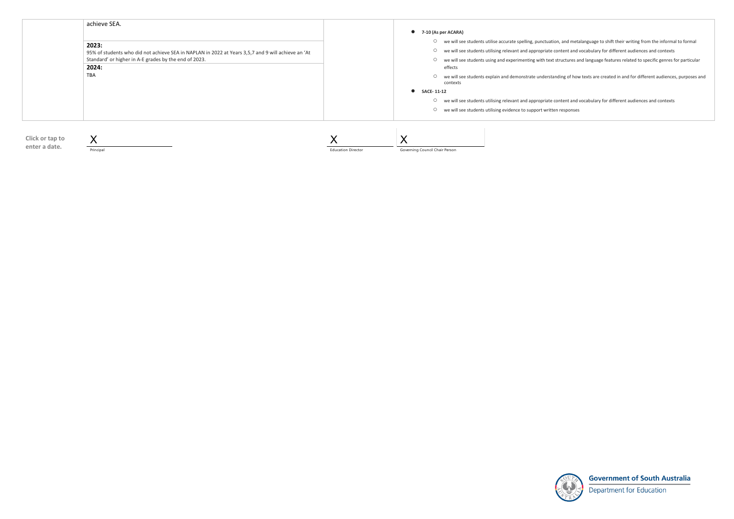- we will see students utilise accurate spelling, punctuation, and metalanguage to shift their writing from the informal to formal
	-
- we will see students using and experimenting with text structures and language features related to specific genres for particular

○ we will see students explain and demonstrate understanding of how texts are created in and for different audiences, purposes and



**Government of South Australia** 

Department for Education



Principal

Education Director

Governing Council Chair Person